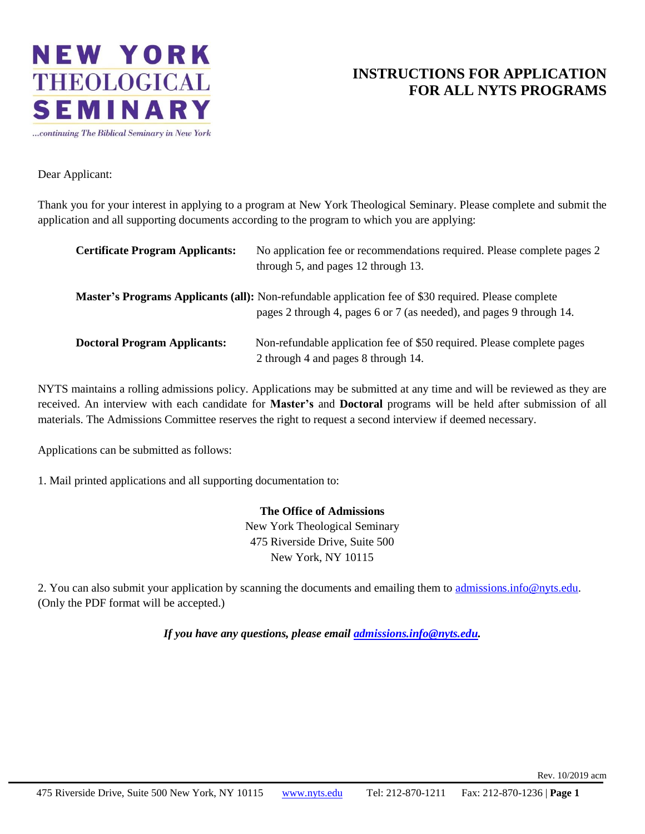

### **INSTRUCTIONS FOR APPLICATION FOR ALL NYTS PROGRAMS**

Dear Applicant:

Thank you for your interest in applying to a program at New York Theological Seminary. Please complete and submit the application and all supporting documents according to the program to which you are applying:

| <b>Certificate Program Applicants:</b> | No application fee or recommendations required. Please complete pages 2<br>through 5, and pages 12 through 13.                                                                      |
|----------------------------------------|-------------------------------------------------------------------------------------------------------------------------------------------------------------------------------------|
|                                        | <b>Master's Programs Applicants (all):</b> Non-refundable application fee of \$30 required. Please complete<br>pages 2 through 4, pages 6 or 7 (as needed), and pages 9 through 14. |
| <b>Doctoral Program Applicants:</b>    | Non-refundable application fee of \$50 required. Please complete pages<br>2 through 4 and pages 8 through 14.                                                                       |

NYTS maintains a rolling admissions policy. Applications may be submitted at any time and will be reviewed as they are received. An interview with each candidate for **Master's** and **Doctoral** programs will be held after submission of all materials. The Admissions Committee reserves the right to request a second interview if deemed necessary.

Applications can be submitted as follows:

1. Mail printed applications and all supporting documentation to:

**The Office of Admissions** New York Theological Seminary 475 Riverside Drive, Suite 500 New York, NY 10115

2. You can also submit your application by scanning the documents and emailing them to admissions.info@nyts.edu. (Only the PDF format will be accepted.)

*If you have any questions, please email admissions.info@nyts.edu.*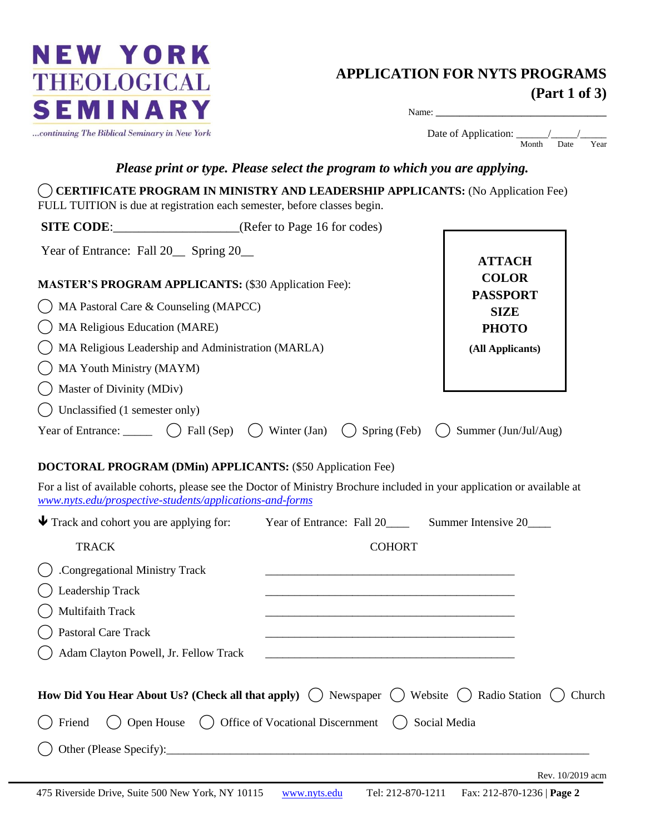

## **APPLICATION FOR NYTS PROGRAMS (Part 1 of 3)**

| К               | Name:                 |
|-----------------|-----------------------|
| <b>Vew York</b> | Date of Application:  |
|                 | Month<br>Year<br>Date |

#### *Please print or type. Please select the program to which you are applying.*

| <b>SITE CODE:</b> (Refer to Page 16 for codes)                                                                                                                                                                |                                                                                                                          |                                |
|---------------------------------------------------------------------------------------------------------------------------------------------------------------------------------------------------------------|--------------------------------------------------------------------------------------------------------------------------|--------------------------------|
| Year of Entrance: Fall 20 Spring 20                                                                                                                                                                           |                                                                                                                          | <b>ATTACH</b>                  |
| <b>MASTER'S PROGRAM APPLICANTS: (\$30 Application Fee):</b>                                                                                                                                                   |                                                                                                                          | <b>COLOR</b>                   |
| MA Pastoral Care & Counseling (MAPCC)                                                                                                                                                                         |                                                                                                                          | <b>PASSPORT</b><br><b>SIZE</b> |
| MA Religious Education (MARE)                                                                                                                                                                                 |                                                                                                                          | <b>PHOTO</b>                   |
| MA Religious Leadership and Administration (MARLA)                                                                                                                                                            | (All Applicants)                                                                                                         |                                |
| MA Youth Ministry (MAYM)                                                                                                                                                                                      |                                                                                                                          |                                |
| Master of Divinity (MDiv)                                                                                                                                                                                     |                                                                                                                          |                                |
| Unclassified (1 semester only)                                                                                                                                                                                |                                                                                                                          |                                |
| Year of Entrance: $\qquad \qquad$ ( ) Fall (Sep)                                                                                                                                                              | $\left( \quad \right)$ Winter (Jan)<br>Spring (Feb)                                                                      | Summer (Jun/Jul/Aug)           |
|                                                                                                                                                                                                               | For a list of available cohorts, please see the Doctor of Ministry Brochure included in your application or available at |                                |
|                                                                                                                                                                                                               | Year of Entrance: Fall 20 _________ Summer Intensive 20 ______                                                           |                                |
| <b>DOCTORAL PROGRAM (DMin) APPLICANTS: (\$50 Application Fee)</b><br>www.nyts.edu/prospective-students/applications-and-forms<br>$\blacktriangleright$ Track and cohort you are applying for:<br><b>TRACK</b> | <b>COHORT</b>                                                                                                            |                                |
| .Congregational Ministry Track                                                                                                                                                                                |                                                                                                                          |                                |
| Leadership Track                                                                                                                                                                                              |                                                                                                                          |                                |
| Multifaith Track                                                                                                                                                                                              |                                                                                                                          |                                |
| Pastoral Care Track                                                                                                                                                                                           |                                                                                                                          |                                |
| () Adam Clayton Powell, Jr. Fellow Track                                                                                                                                                                      |                                                                                                                          |                                |
|                                                                                                                                                                                                               |                                                                                                                          |                                |
|                                                                                                                                                                                                               | How Did You Hear About Us? (Check all that apply) $($ $)$ Newspaper $($ $)$ Website $($ $)$ Radio Station $($ $)$ Church |                                |
| Friend                                                                                                                                                                                                        | Open House () Office of Vocational Discernment                                                                           | Social Media                   |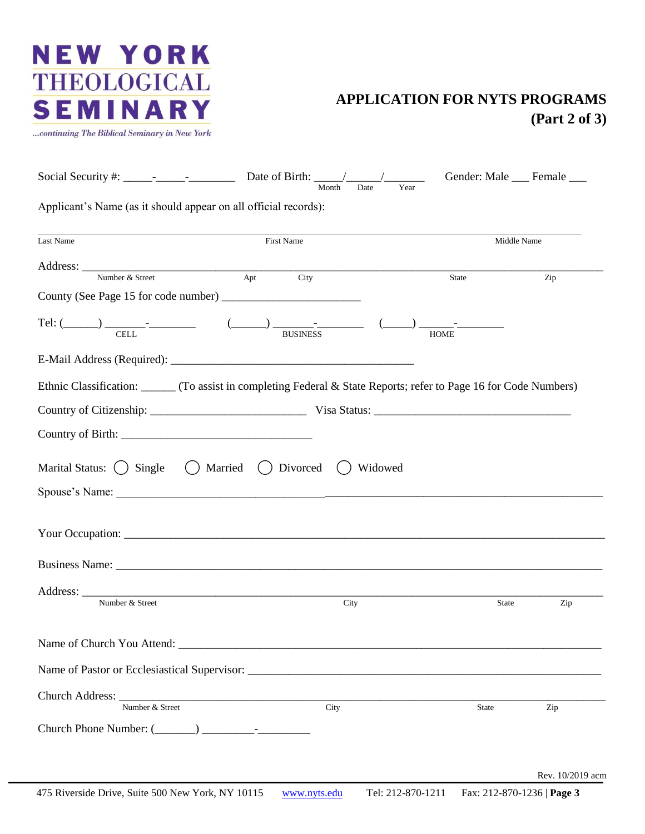...continuing The Biblical Seminary in New York

### **APPLICATION FOR NYTS PROGRAMS (Part 2 of 3)**

|                                                                                                                                                                                                                                      | Month       | Year<br>Date | Gender: Male ___ Female ___ |                  |
|--------------------------------------------------------------------------------------------------------------------------------------------------------------------------------------------------------------------------------------|-------------|--------------|-----------------------------|------------------|
| Applicant's Name (as it should appear on all official records):                                                                                                                                                                      |             |              |                             |                  |
| Last Name                                                                                                                                                                                                                            | First Name  |              | Middle Name                 |                  |
| Number & Street                                                                                                                                                                                                                      | Apt<br>City |              | State                       | Zip              |
|                                                                                                                                                                                                                                      |             |              |                             |                  |
| Tel: $(\_\_\_\_\_\_\_\_\_\_\_\_\$ $\_\_\_\_\_\_\_\_$                                                                                                                                                                                 |             |              | <b>HOME</b>                 |                  |
|                                                                                                                                                                                                                                      |             |              |                             |                  |
| Ethnic Classification: ______ (To assist in completing Federal & State Reports; refer to Page 16 for Code Numbers)                                                                                                                   |             |              |                             |                  |
|                                                                                                                                                                                                                                      |             |              |                             |                  |
|                                                                                                                                                                                                                                      |             |              |                             |                  |
| Marital Status: () Single () Married () Divorced                                                                                                                                                                                     |             | Widowed      |                             |                  |
| Your Occupation: <u>contract and contract and contract and contract and contract and contract and contract and contract and contract and contract and contract and contract and contract and contract and contract and contract </u> |             |              |                             |                  |
|                                                                                                                                                                                                                                      |             |              |                             |                  |
| Number & Street                                                                                                                                                                                                                      |             | City         | <b>State</b>                | Zip              |
|                                                                                                                                                                                                                                      |             |              |                             |                  |
|                                                                                                                                                                                                                                      |             |              |                             |                  |
| Number & Street                                                                                                                                                                                                                      | City        |              | State                       | Zip              |
|                                                                                                                                                                                                                                      |             |              |                             |                  |
|                                                                                                                                                                                                                                      |             |              |                             | Rev. 10/2019 acm |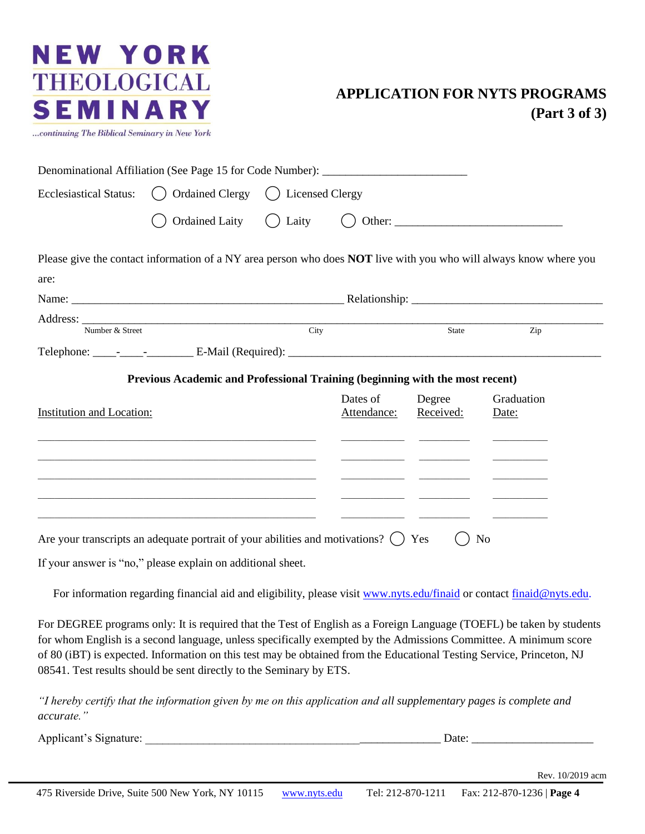

### **APPLICATION FOR NYTS PROGRAMS (Part 3 of 3)**

|                                  | Denominational Affiliation (See Page 15 for Code Number): _______________________                                     |                                                                                                                                                                                                                                      |                     |                                                                                                                          |
|----------------------------------|-----------------------------------------------------------------------------------------------------------------------|--------------------------------------------------------------------------------------------------------------------------------------------------------------------------------------------------------------------------------------|---------------------|--------------------------------------------------------------------------------------------------------------------------|
| <b>Ecclesiastical Status:</b>    | () Ordained Clergy () Licensed Clergy                                                                                 |                                                                                                                                                                                                                                      |                     |                                                                                                                          |
|                                  | <b>Ordained Laity</b>                                                                                                 |                                                                                                                                                                                                                                      |                     |                                                                                                                          |
|                                  |                                                                                                                       |                                                                                                                                                                                                                                      |                     | Please give the contact information of a NY area person who does <b>NOT</b> live with you who will always know where you |
| are:                             |                                                                                                                       |                                                                                                                                                                                                                                      |                     |                                                                                                                          |
|                                  |                                                                                                                       |                                                                                                                                                                                                                                      |                     |                                                                                                                          |
|                                  | Address: Number & Street City                                                                                         |                                                                                                                                                                                                                                      | State               | Zip                                                                                                                      |
|                                  |                                                                                                                       |                                                                                                                                                                                                                                      |                     |                                                                                                                          |
|                                  | Previous Academic and Professional Training (beginning with the most recent)                                          |                                                                                                                                                                                                                                      |                     |                                                                                                                          |
| <b>Institution and Location:</b> |                                                                                                                       | Dates of<br>Attendance:                                                                                                                                                                                                              | Degree<br>Received: | Graduation<br>Date:                                                                                                      |
|                                  | <u> 1989 - Johann Harry Harry Harry Harry Harry Harry Harry Harry Harry Harry Harry Harry Harry Harry Harry Harry</u> | <u> The Communication of the Communication of the Communication of the Communication of the Communication of the Communication of the Communication of the Communication of the Communication of the Communication of the Commun</u> |                     |                                                                                                                          |
|                                  |                                                                                                                       | <u> 1980 - Jan Stein Hermann, fransk politik (d. 1980)</u>                                                                                                                                                                           |                     |                                                                                                                          |
|                                  | Are your transcripts an adequate portrait of your abilities and motivations? $\bigcap$ Yes                            |                                                                                                                                                                                                                                      |                     | No                                                                                                                       |
|                                  | If your answer is "no," please explain on additional sheet.                                                           |                                                                                                                                                                                                                                      |                     |                                                                                                                          |

For information regarding financial aid and eligibility, please visit www.nyts.edu/finaid or contact finaid@nyts.edu.

For DEGREE programs only: It is required that the Test of English as a Foreign Language (TOEFL) be taken by students for whom English is a second language, unless specifically exempted by the Admissions Committee. A minimum score of 80 (iBT) is expected. Information on this test may be obtained from the Educational Testing Service, Princeton, NJ 08541. Test results should be sent directly to the Seminary by ETS.

*"I hereby certify that the information given by me on this application and all supplementary pages is complete and accurate."*

Applicant's Signature: \_\_\_\_\_\_\_\_\_\_\_\_\_\_\_\_\_\_\_\_\_\_\_\_\_\_\_\_\_\_\_\_\_\_\_\_\_\_\_\_\_\_\_\_\_\_\_\_\_\_\_ Date: \_\_\_\_\_\_\_\_\_\_\_\_\_\_\_\_\_\_\_\_\_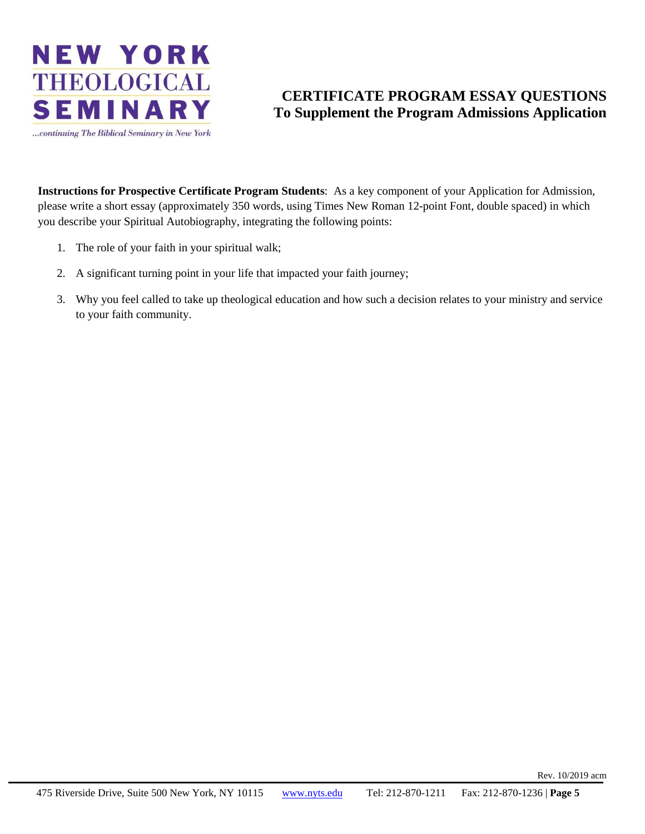

### **CERTIFICATE PROGRAM ESSAY QUESTIONS To Supplement the Program Admissions Application**

**Instructions for Prospective Certificate Program Students**: As a key component of your Application for Admission, please write a short essay (approximately 350 words, using Times New Roman 12-point Font, double spaced) in which you describe your Spiritual Autobiography, integrating the following points:

- 1. The role of your faith in your spiritual walk;
- 2. A significant turning point in your life that impacted your faith journey;
- 3. Why you feel called to take up theological education and how such a decision relates to your ministry and service to your faith community.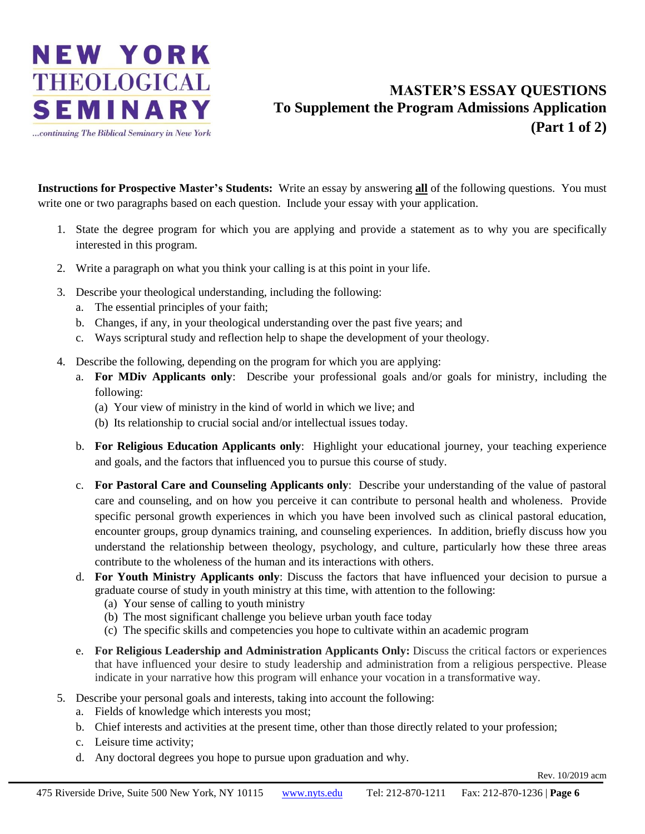

### **MASTER'S ESSAY QUESTIONS To Supplement the Program Admissions Application (Part 1 of 2)**

**Instructions for Prospective Master's Students:** Write an essay by answering **all** of the following questions. You must write one or two paragraphs based on each question. Include your essay with your application.

- 1. State the degree program for which you are applying and provide a statement as to why you are specifically interested in this program.
- 2. Write a paragraph on what you think your calling is at this point in your life.
- 3. Describe your theological understanding, including the following:
	- a. The essential principles of your faith;
	- b. Changes, if any, in your theological understanding over the past five years; and
	- c. Ways scriptural study and reflection help to shape the development of your theology.
- 4. Describe the following, depending on the program for which you are applying:
	- a. **For MDiv Applicants only**: Describe your professional goals and/or goals for ministry, including the following:
		- (a) Your view of ministry in the kind of world in which we live; and
		- (b) Its relationship to crucial social and/or intellectual issues today.
	- b. **For Religious Education Applicants only**: Highlight your educational journey, your teaching experience and goals, and the factors that influenced you to pursue this course of study.
	- c. **For Pastoral Care and Counseling Applicants only**: Describe your understanding of the value of pastoral care and counseling, and on how you perceive it can contribute to personal health and wholeness. Provide specific personal growth experiences in which you have been involved such as clinical pastoral education, encounter groups, group dynamics training, and counseling experiences. In addition, briefly discuss how you understand the relationship between theology, psychology, and culture, particularly how these three areas contribute to the wholeness of the human and its interactions with others.
	- d. **For Youth Ministry Applicants only**: Discuss the factors that have influenced your decision to pursue a graduate course of study in youth ministry at this time, with attention to the following:
		- (a) Your sense of calling to youth ministry
		- (b) The most significant challenge you believe urban youth face today
		- (c) The specific skills and competencies you hope to cultivate within an academic program
	- e. **For Religious Leadership and Administration Applicants Only:** Discuss the critical factors or experiences that have influenced your desire to study leadership and administration from a religious perspective. Please indicate in your narrative how this program will enhance your vocation in a transformative way.
- 5. Describe your personal goals and interests, taking into account the following:
	- a. Fields of knowledge which interests you most;
	- b. Chief interests and activities at the present time, other than those directly related to your profession;
	- c. Leisure time activity;
	- d. Any doctoral degrees you hope to pursue upon graduation and why.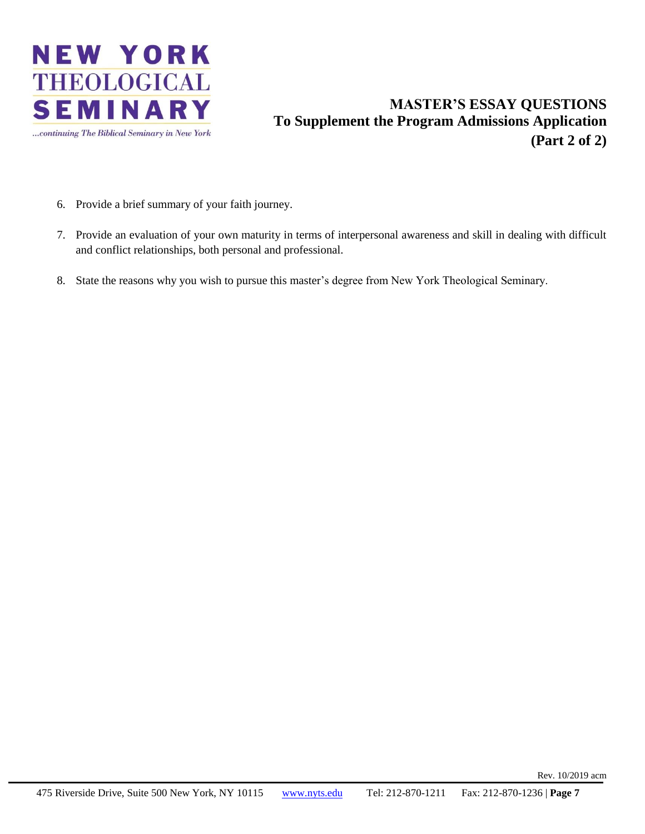

### **MASTER'S ESSAY QUESTIONS To Supplement the Program Admissions Application (Part 2 of 2)**

- 6. Provide a brief summary of your faith journey.
- 7. Provide an evaluation of your own maturity in terms of interpersonal awareness and skill in dealing with difficult and conflict relationships, both personal and professional.
- 8. State the reasons why you wish to pursue this master's degree from New York Theological Seminary.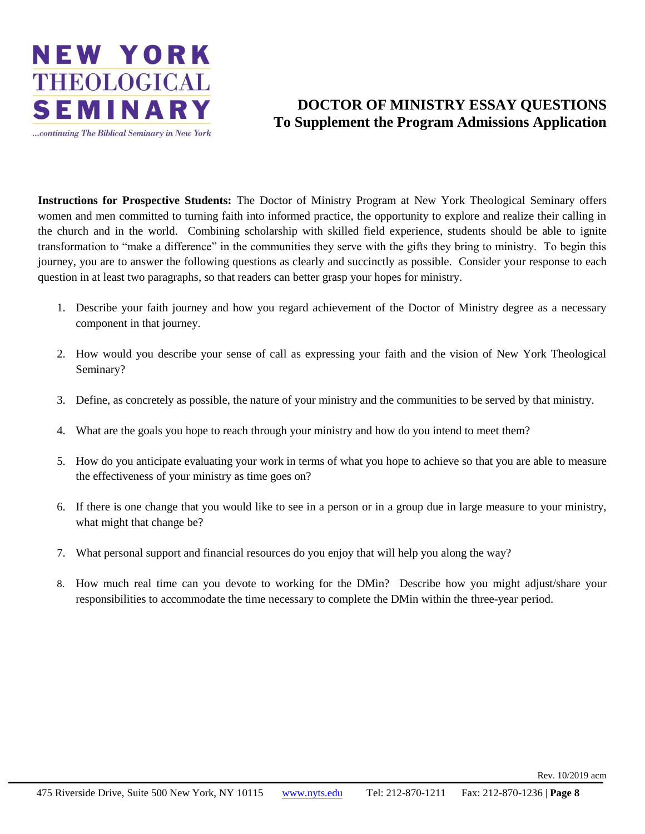

### **DOCTOR OF MINISTRY ESSAY QUESTIONS To Supplement the Program Admissions Application**

**Instructions for Prospective Students:** The Doctor of Ministry Program at New York Theological Seminary offers women and men committed to turning faith into informed practice, the opportunity to explore and realize their calling in the church and in the world. Combining scholarship with skilled field experience, students should be able to ignite transformation to "make a difference" in the communities they serve with the gifts they bring to ministry. To begin this journey, you are to answer the following questions as clearly and succinctly as possible. Consider your response to each question in at least two paragraphs, so that readers can better grasp your hopes for ministry.

- 1. Describe your faith journey and how you regard achievement of the Doctor of Ministry degree as a necessary component in that journey.
- 2. How would you describe your sense of call as expressing your faith and the vision of New York Theological Seminary?
- 3. Define, as concretely as possible, the nature of your ministry and the communities to be served by that ministry.
- 4. What are the goals you hope to reach through your ministry and how do you intend to meet them?
- 5. How do you anticipate evaluating your work in terms of what you hope to achieve so that you are able to measure the effectiveness of your ministry as time goes on?
- 6. If there is one change that you would like to see in a person or in a group due in large measure to your ministry, what might that change be?
- 7. What personal support and financial resources do you enjoy that will help you along the way?
- 8. How much real time can you devote to working for the DMin? Describe how you might adjust/share your responsibilities to accommodate the time necessary to complete the DMin within the three-year period.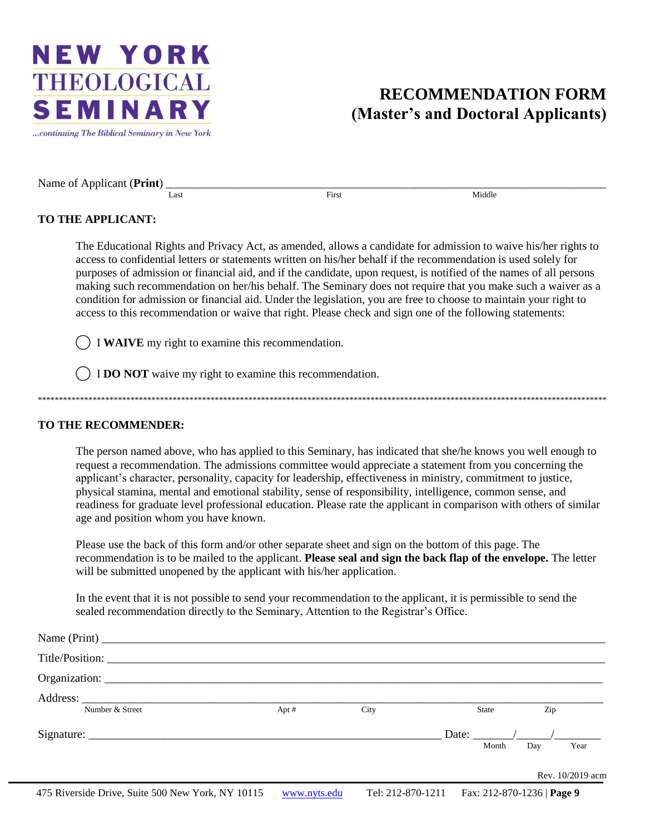...continuing The Biblical Seminary in New York

### **RECOMMENDATION FORM (Master's and Doctoral Applicants)**

Name of Applicant (**Print**)

Last First First Middle

#### **TO THE APPLICANT:**

The Educational Rights and Privacy Act, as amended, allows a candidate for admission to waive his/her rights to access to confidential letters or statements written on his/her behalf if the recommendation is used solely for purposes of admission or financial aid, and if the candidate, upon request, is notified of the names of all persons making such recommendation on her/his behalf. The Seminary does not require that you make such a waiver as a condition for admission or financial aid. Under the legislation, you are free to choose to maintain your right to access to this recommendation or waive that right. Please check and sign one of the following statements:

⃝ I **WAIVE** my right to examine this recommendation.

⃝ I **DO NOT** waive my right to examine this recommendation.

\*\*\*\*\*\*\*\*\*\*\*\*\*\*\*\*\*\*\*\*\*\*\*\*\*\*\*\*\*\*\*\*\*\*\*\*\*\*\*\*\*\*\*\*\*\*\*\*\*\*\*\*\*\*\*\*\*\*\*\*\*\*\*\*\*\*\*\*\*\*\*\*\*\*\*\*\*\*\*\*\*\*\*\*\*\*\*\*\*\*\*\*\*\*\*\*\*\*\*\*\*\*\*\*\*\*\*\*\*\*\*\*\*\*\*\*\*\*\*\*\*\*\*\*\*\*\*\*\*\*\*\*\*\*\*

#### **TO THE RECOMMENDER:**

The person named above, who has applied to this Seminary, has indicated that she/he knows you well enough to request a recommendation. The admissions committee would appreciate a statement from you concerning the applicant's character, personality, capacity for leadership, effectiveness in ministry, commitment to justice, physical stamina, mental and emotional stability, sense of responsibility, intelligence, common sense, and readiness for graduate level professional education. Please rate the applicant in comparison with others of similar age and position whom you have known.

Please use the back of this form and/or other separate sheet and sign on the bottom of this page. The recommendation is to be mailed to the applicant. **Please seal and sign the back flap of the envelope.** The letter will be submitted unopened by the applicant with his/her application.

In the event that it is not possible to send your recommendation to the applicant, it is permissible to send the sealed recommendation directly to the Seminary, Attention to the Registrar's Office.

|                 |      |      |       |              | Rev. 10/2019 acm |
|-----------------|------|------|-------|--------------|------------------|
|                 |      |      |       | Month<br>Day | Year             |
|                 |      |      |       |              |                  |
| Number & Street | Apt# | City | State | Zip          |                  |
|                 |      |      |       |              |                  |
|                 |      |      |       |              |                  |
|                 |      |      |       |              |                  |
|                 |      |      |       |              |                  |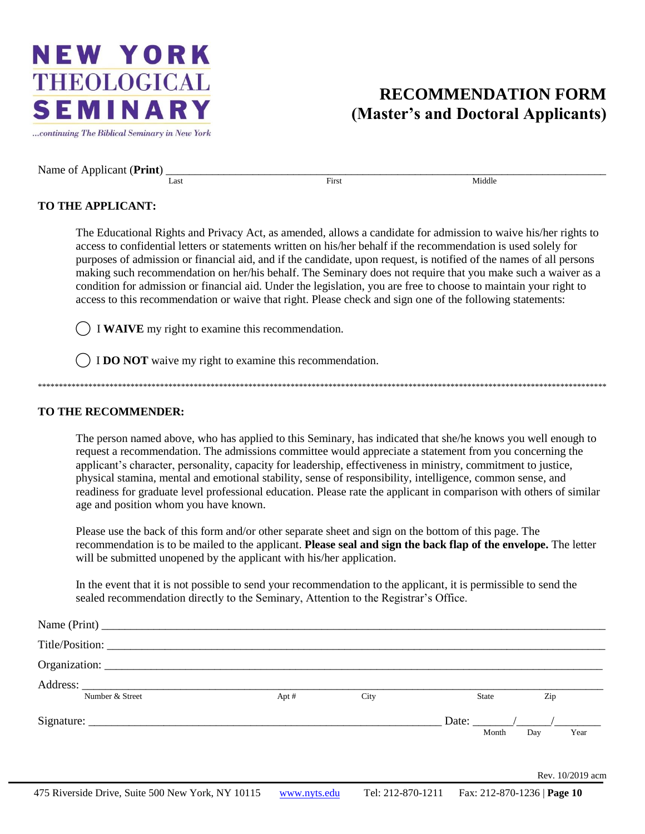...continuing The Biblical Seminary in New York

### **RECOMMENDATION FORM (Master's and Doctoral Applicants)**

Name of Applicant (**Print**)

Last First First Middle

#### **TO THE APPLICANT:**

The Educational Rights and Privacy Act, as amended, allows a candidate for admission to waive his/her rights to access to confidential letters or statements written on his/her behalf if the recommendation is used solely for purposes of admission or financial aid, and if the candidate, upon request, is notified of the names of all persons making such recommendation on her/his behalf. The Seminary does not require that you make such a waiver as a condition for admission or financial aid. Under the legislation, you are free to choose to maintain your right to access to this recommendation or waive that right. Please check and sign one of the following statements:

⃝ I **WAIVE** my right to examine this recommendation.

⃝ I **DO NOT** waive my right to examine this recommendation.

#### **TO THE RECOMMENDER:**

The person named above, who has applied to this Seminary, has indicated that she/he knows you well enough to request a recommendation. The admissions committee would appreciate a statement from you concerning the applicant's character, personality, capacity for leadership, effectiveness in ministry, commitment to justice, physical stamina, mental and emotional stability, sense of responsibility, intelligence, common sense, and readiness for graduate level professional education. Please rate the applicant in comparison with others of similar age and position whom you have known.

\*\*\*\*\*\*\*\*\*\*\*\*\*\*\*\*\*\*\*\*\*\*\*\*\*\*\*\*\*\*\*\*\*\*\*\*\*\*\*\*\*\*\*\*\*\*\*\*\*\*\*\*\*\*\*\*\*\*\*\*\*\*\*\*\*\*\*\*\*\*\*\*\*\*\*\*\*\*\*\*\*\*\*\*\*\*\*\*\*\*\*\*\*\*\*\*\*\*\*\*\*\*\*\*\*\*\*\*\*\*\*\*\*\*\*\*\*\*\*\*\*\*\*\*\*\*\*\*\*\*\*\*\*\*\*

Please use the back of this form and/or other separate sheet and sign on the bottom of this page. The recommendation is to be mailed to the applicant. **Please seal and sign the back flap of the envelope.** The letter will be submitted unopened by the applicant with his/her application.

In the event that it is not possible to send your recommendation to the applicant, it is permissible to send the sealed recommendation directly to the Seminary, Attention to the Registrar's Office.

| Number & Street | Apt # | City | State | Zip |                  |
|-----------------|-------|------|-------|-----|------------------|
|                 |       |      |       |     |                  |
|                 |       |      | Month | Day | Year             |
|                 |       |      |       |     |                  |
|                 |       |      |       |     | Rev. 10/2019 acm |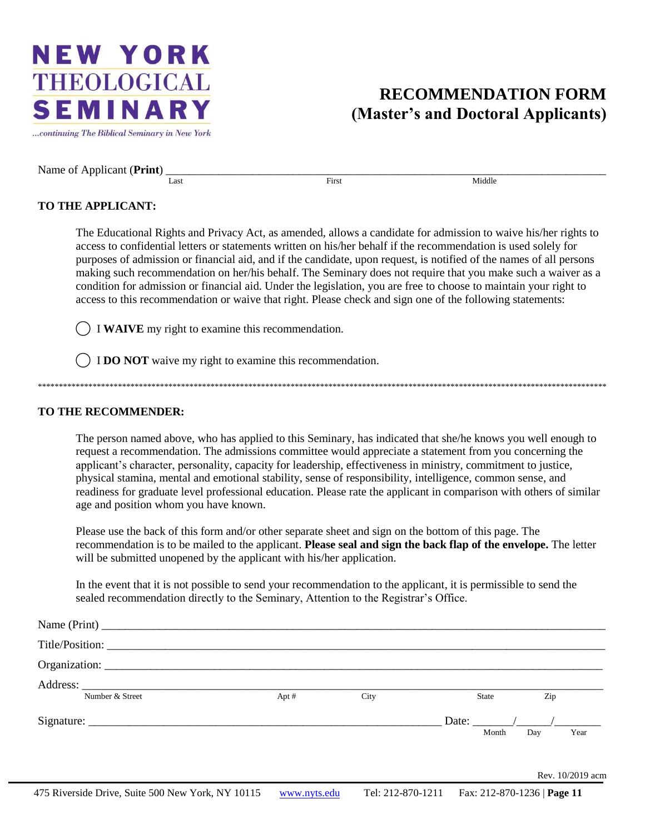...continuing The Biblical Seminary in New York

### **RECOMMENDATION FORM (Master's and Doctoral Applicants)**

Name of Applicant (**Print**)

Last First First Middle

#### **TO THE APPLICANT:**

The Educational Rights and Privacy Act, as amended, allows a candidate for admission to waive his/her rights to access to confidential letters or statements written on his/her behalf if the recommendation is used solely for purposes of admission or financial aid, and if the candidate, upon request, is notified of the names of all persons making such recommendation on her/his behalf. The Seminary does not require that you make such a waiver as a condition for admission or financial aid. Under the legislation, you are free to choose to maintain your right to access to this recommendation or waive that right. Please check and sign one of the following statements:

⃝ I **WAIVE** my right to examine this recommendation.

⃝ I **DO NOT** waive my right to examine this recommendation.

#### **TO THE RECOMMENDER:**

The person named above, who has applied to this Seminary, has indicated that she/he knows you well enough to request a recommendation. The admissions committee would appreciate a statement from you concerning the applicant's character, personality, capacity for leadership, effectiveness in ministry, commitment to justice, physical stamina, mental and emotional stability, sense of responsibility, intelligence, common sense, and readiness for graduate level professional education. Please rate the applicant in comparison with others of similar age and position whom you have known.

\*\*\*\*\*\*\*\*\*\*\*\*\*\*\*\*\*\*\*\*\*\*\*\*\*\*\*\*\*\*\*\*\*\*\*\*\*\*\*\*\*\*\*\*\*\*\*\*\*\*\*\*\*\*\*\*\*\*\*\*\*\*\*\*\*\*\*\*\*\*\*\*\*\*\*\*\*\*\*\*\*\*\*\*\*\*\*\*\*\*\*\*\*\*\*\*\*\*\*\*\*\*\*\*\*\*\*\*\*\*\*\*\*\*\*\*\*\*\*\*\*\*\*\*\*\*\*\*\*\*\*\*\*\*\*

Please use the back of this form and/or other separate sheet and sign on the bottom of this page. The recommendation is to be mailed to the applicant. **Please seal and sign the back flap of the envelope.** The letter will be submitted unopened by the applicant with his/her application.

In the event that it is not possible to send your recommendation to the applicant, it is permissible to send the sealed recommendation directly to the Seminary, Attention to the Registrar's Office.

| Title/Position: |       |      |       |                       |                  |
|-----------------|-------|------|-------|-----------------------|------------------|
|                 |       |      |       |                       |                  |
|                 |       |      |       |                       |                  |
| Number & Street | Apt # | City | State | Zip                   |                  |
|                 |       |      |       | Date: $\frac{1}{2}$ / |                  |
|                 |       |      | Month | Day                   | Year             |
|                 |       |      |       |                       |                  |
|                 |       |      |       |                       | Rev. 10/2019 acm |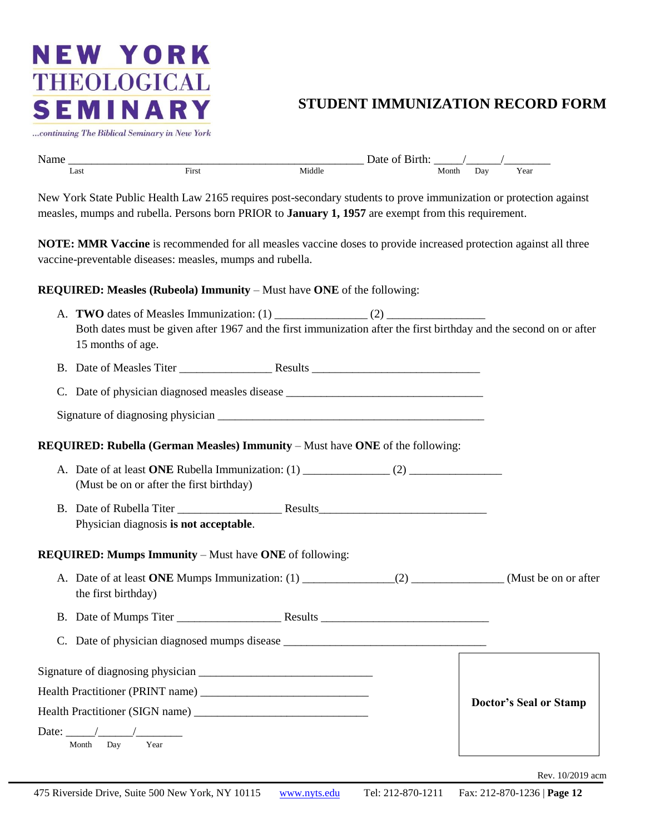### **STUDENT IMMUNIZATION RECORD FORM**

...continuing The Biblical Seminary in New York

| N.<br><b>Name</b> |      |              |        | าน เ<br>.<br>$\sim$ |                                                          |     |      |
|-------------------|------|--------------|--------|---------------------|----------------------------------------------------------|-----|------|
|                   | Last | <b>First</b> | Middle |                     | Month<br>the contract of the contract of the contract of | Day | Year |

New York State Public Health Law 2165 requires post-secondary students to prove immunization or protection against measles, mumps and rubella. Persons born PRIOR to **January 1, 1957** are exempt from this requirement.

**NOTE: MMR Vaccine** is recommended for all measles vaccine doses to provide increased protection against all three vaccine-preventable diseases: measles, mumps and rubella.

#### **REQUIRED: Measles (Rubeola) Immunity** – Must have **ONE** of the following:

| 15 months of age.                                                                           | Both dates must be given after 1967 and the first immunization after the first birthday and the second on or after |
|---------------------------------------------------------------------------------------------|--------------------------------------------------------------------------------------------------------------------|
|                                                                                             |                                                                                                                    |
|                                                                                             |                                                                                                                    |
|                                                                                             |                                                                                                                    |
| <b>REQUIRED: Rubella (German Measles) Immunity</b> – Must have <b>ONE</b> of the following: |                                                                                                                    |
| (Must be on or after the first birthday)                                                    |                                                                                                                    |
| Physician diagnosis is not acceptable.                                                      |                                                                                                                    |
| <b>REQUIRED: Mumps Immunity – Must have ONE of following:</b>                               |                                                                                                                    |
| the first birthday)                                                                         |                                                                                                                    |
|                                                                                             |                                                                                                                    |
|                                                                                             |                                                                                                                    |
|                                                                                             |                                                                                                                    |
|                                                                                             |                                                                                                                    |
|                                                                                             | <b>Doctor's Seal or Stamp</b>                                                                                      |
| Year<br>Month<br>Day                                                                        |                                                                                                                    |
|                                                                                             | Rev. 10/2019 acm                                                                                                   |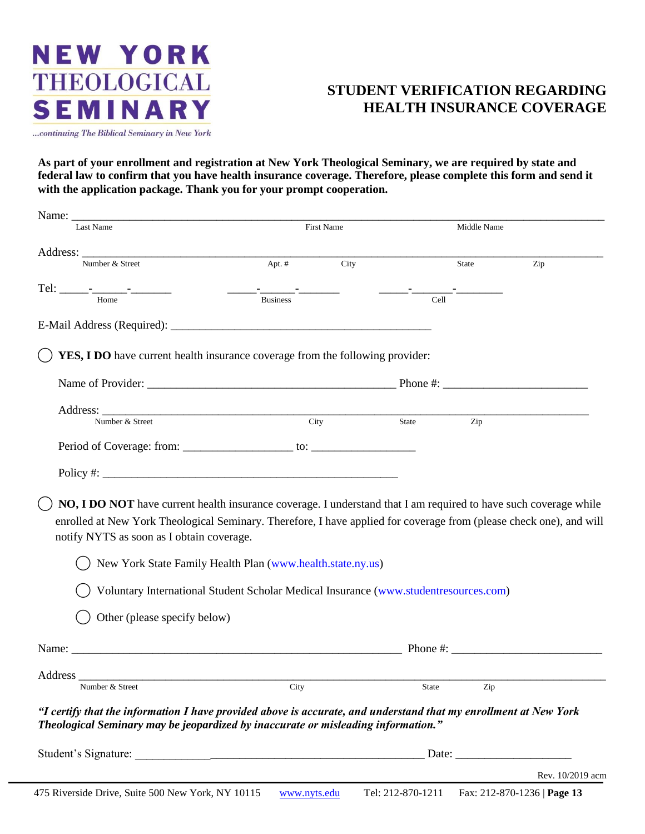

### **STUDENT VERIFICATION REGARDING HEALTH INSURANCE COVERAGE**

**As part of your enrollment and registration at New York Theological Seminary, we are required by state and federal law to confirm that you have health insurance coverage. Therefore, please complete this form and send it with the application package. Thank you for your prompt cooperation.**

| Name:                                                                                                                                                                                                                                                                                |          |            |                                             |                  |                  |
|--------------------------------------------------------------------------------------------------------------------------------------------------------------------------------------------------------------------------------------------------------------------------------------|----------|------------|---------------------------------------------|------------------|------------------|
| Last Name                                                                                                                                                                                                                                                                            |          | First Name |                                             | Middle Name      |                  |
|                                                                                                                                                                                                                                                                                      |          |            |                                             |                  |                  |
| Number & Street                                                                                                                                                                                                                                                                      | Apt. $#$ | City       |                                             | <b>State</b>     | Zip              |
|                                                                                                                                                                                                                                                                                      |          |            | <u> 1999 - John Harrison, film andrew f</u> |                  |                  |
|                                                                                                                                                                                                                                                                                      |          |            | Cell                                        |                  |                  |
|                                                                                                                                                                                                                                                                                      |          |            |                                             |                  |                  |
| YES, I DO have current health insurance coverage from the following provider:                                                                                                                                                                                                        |          |            |                                             |                  |                  |
|                                                                                                                                                                                                                                                                                      |          |            |                                             |                  |                  |
|                                                                                                                                                                                                                                                                                      |          |            |                                             |                  |                  |
| Address: Number & Street City                                                                                                                                                                                                                                                        |          |            | State                                       | $\overline{Zip}$ |                  |
|                                                                                                                                                                                                                                                                                      |          |            |                                             |                  |                  |
|                                                                                                                                                                                                                                                                                      |          |            |                                             |                  |                  |
|                                                                                                                                                                                                                                                                                      |          |            |                                             |                  |                  |
| NO, I DO NOT have current health insurance coverage. I understand that I am required to have such coverage while<br>enrolled at New York Theological Seminary. Therefore, I have applied for coverage from (please check one), and will<br>notify NYTS as soon as I obtain coverage. |          |            |                                             |                  |                  |
| New York State Family Health Plan (www.health.state.ny.us)                                                                                                                                                                                                                           |          |            |                                             |                  |                  |
| Voluntary International Student Scholar Medical Insurance (www.studentresources.com)                                                                                                                                                                                                 |          |            |                                             |                  |                  |
| Other (please specify below)                                                                                                                                                                                                                                                         |          |            |                                             |                  |                  |
|                                                                                                                                                                                                                                                                                      |          |            |                                             |                  |                  |
|                                                                                                                                                                                                                                                                                      |          |            |                                             |                  |                  |
| Address City<br>Number & Street                                                                                                                                                                                                                                                      | City     |            | <b>State</b>                                | Zip              |                  |
| "I certify that the information I have provided above is accurate, and understand that my enrollment at New York<br>Theological Seminary may be jeopardized by inaccurate or misleading information."                                                                                |          |            |                                             |                  |                  |
| Student's Signature: 2008 and 2008 and 2008 and 2008 and 2008 and 2008 and 2008 and 2008 and 2008 and 2008 and 2008 and 2008 and 2008 and 2008 and 2008 and 2008 and 2008 and 2008 and 2008 and 2008 and 2008 and 2008 and 200                                                       |          |            |                                             |                  |                  |
|                                                                                                                                                                                                                                                                                      |          |            |                                             |                  | Rev. 10/2019 acm |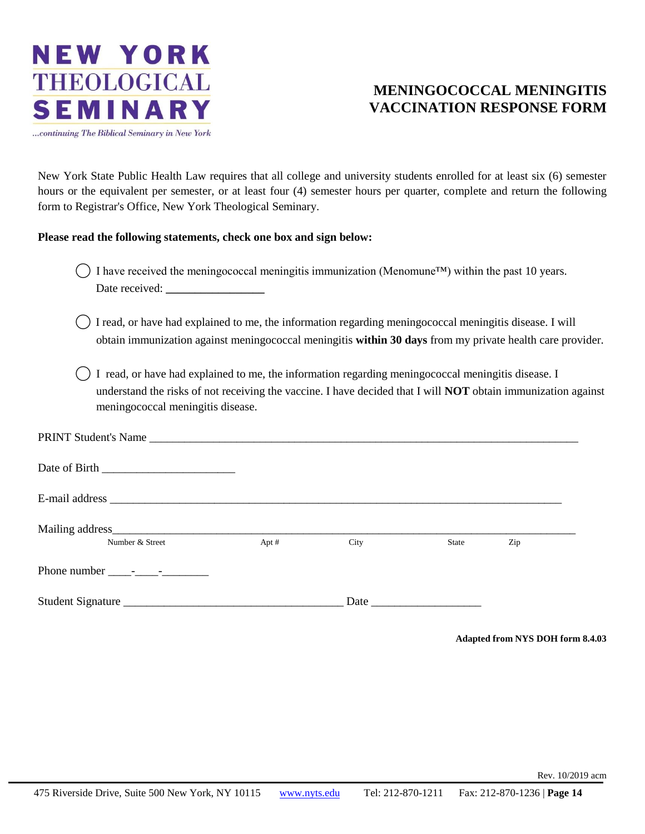

### **MENINGOCOCCAL MENINGITIS VACCINATION RESPONSE FORM**

New York State Public Health Law requires that all college and university students enrolled for at least six (6) semester hours or the equivalent per semester, or at least four (4) semester hours per quarter, complete and return the following form to Registrar's Office, New York Theological Seminary.

#### **Please read the following statements, check one box and sign below:**

- ( $\Box$ ) I have received the meningococcal meningitis immunization (Menomune™) within the past 10 years. Date received:
- ⃝ I read, or have had explained to me, the information regarding meningococcal meningitis disease. I will obtain immunization against meningococcal meningitis **within 30 days** from my private health care provider.
- ⃝ I read, or have had explained to me, the information regarding meningococcal meningitis disease. I understand the risks of not receiving the vaccine. I have decided that I will **NOT** obtain immunization against meningococcal meningitis disease.

| Number & Street | Apt $#$ | City | State | Zip |  |
|-----------------|---------|------|-------|-----|--|
|                 |         |      |       |     |  |
|                 |         |      |       |     |  |

**Adapted from NYS DOH form 8.4.03**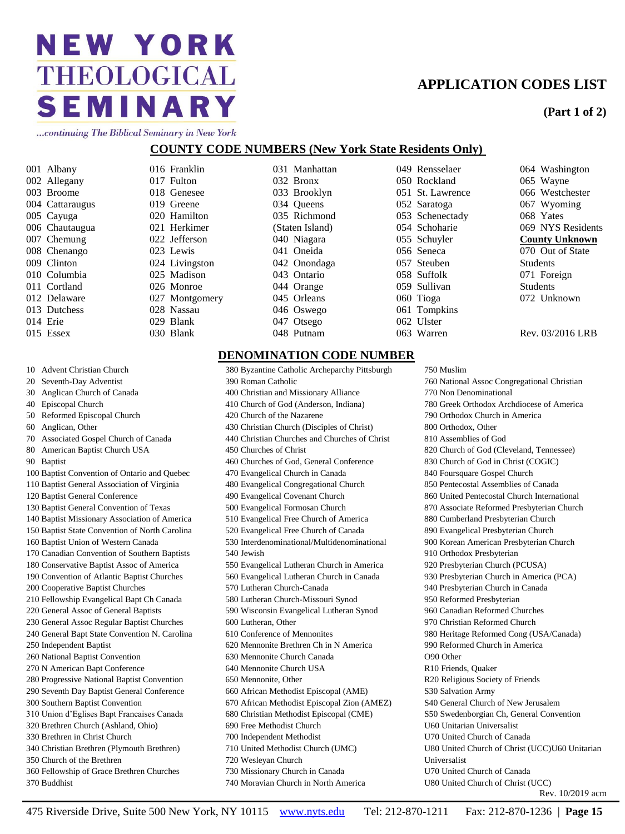### **APPLICATION CODES LIST**

#### **(Part 1 of 2)**

...continuing The Biblical Seminary in New York

#### **COUNTY CODE NUMBERS (New York State Residents Only)**

001 Albany 002 Allegany 003 Broome 004 Cattaraugus 005 Cayuga 006 Chautaugua 007 Chemung 008 Chenango 009 Clinton 010 Columbia 011 Cortland 012 Delaware 013 Dutchess 014 Erie 015 Essex

016 Franklin 017 Fulton 018 Genesee 019 Greene 020 Hamilton 021 Herkimer 022 Jefferson 023 Lewis 024 Livingston 025 Madison 026 Monroe 027 Montgomery 028 Nassau 029 Blank 030 Blank

031 Manhattan 032 Bronx 033 Brooklyn 034 Oueens 035 Richmond (Staten Island) 040 Niagara 041 Oneida 042 Onondaga 043 Ontario 044 Orange 045 Orleans 046 Oswego 047 Otsego 048 Putnam

049 Rensselaer 050 Rockland 051 St. Lawrence 052 Saratoga 053 Schenectady 054 Schoharie 055 Schuyler 056 Seneca 057 Steuben 058 Suffolk 059 Sullivan 060 Tioga 061 Tompkins 062 Ulster 063 Warren

750 Muslim

770 Non Denominational

910 Orthodox Presbyterian 920 Presbyterian Church (PCUSA) 930 Presbyterian Church in America (PCA) 940 Presbyterian Church in Canada 950 Reformed Presbyterian 960 Canadian Reformed Churches 970 Christian Reformed Church

800 Orthodox, Other 810 Assemblies of God

790 Orthodox Church in America

760 National Assoc Congregational Christian

780 Greek Orthodox Archdiocese of America

820 Church of God (Cleveland, Tennessee) 830 Church of God in Christ (COGIC) 840 Foursquare Gospel Church 850 Pentecostal Assemblies of Canada 860 United Pentecostal Church International 870 Associate Reformed Presbyterian Church 880 Cumberland Presbyterian Church 890 Evangelical Presbyterian Church 900 Korean American Presbyterian Church

980 Heritage Reformed Cong (USA/Canada)

990 Reformed Church in America

064 Washington 065 Wayne 066 Westchester 067 Wyoming 068 Yates 069 NYS Residents **County Unknown** 070 Out of State Students 071 Foreign Students 072 Unknown

Rev. 03/2016 LRB

Rev. 10/2019 acm

#### **DENOMINATION CODE NUMBER**

380 Byzantine Catholic Archeparchy Pittsburgh 390 Roman Catholic 400 Christian and Missionary Alliance 410 Church of God (Anderson, Indiana) 420 Church of the Nazarene 430 Christian Church (Disciples of Christ) 440 Christian Churches and Churches of Christ 450 Churches of Christ 460 Churches of God, General Conference 470 Evangelical Church in Canada 480 Evangelical Congregational Church 490 Evangelical Covenant Church 500 Evangelical Formosan Church 510 Evangelical Free Church of America 520 Evangelical Free Church of Canada 530 Interdenominational/Multidenominational 540 Jewish 550 Evangelical Lutheran Church in America 560 Evangelical Lutheran Church in Canada 570 Lutheran Church-Canada 580 Lutheran Church-Missouri Synod 590 Wisconsin Evangelical Lutheran Synod 600 Lutheran, Other 610 Conference of Mennonites 620 Mennonite Brethren Ch in N America 630 Mennonite Church Canada 640 Mennonite Church USA 650 Mennonite, Other 660 African Methodist Episcopal (AME) 670 African Methodist Episcopal Zion (AMEZ) 680 Christian Methodist Episcopal (CME) 690 Free Methodist Church 700 Independent Methodist 710 United Methodist Church (UMC) 720 Wesleyan Church 730 Missionary Church in Canada

O90 Other R10 Friends, Quaker R20 Religious Society of Friends S30 Salvation Army S40 General Church of New Jerusalem S50 Swedenborgian Ch, General Convention U60 Unitarian Universalist U70 United Church of Canada U80 United Church of Christ (UCC)U60 Unitarian Universalist U70 United Church of Canada U80 United Church of Christ (UCC)

#### 10 Advent Christian Church

- 20 Seventh-Day Adventist
- 30 Anglican Church of Canada
- 40 Episcopal Church
- 50 Reformed Episcopal Church
- 60 Anglican, Other
- 70 Associated Gospel Church of Canada
- 80 American Baptist Church USA
- 90 Baptist
- 100 Baptist Convention of Ontario and Quebec
- 110 Baptist General Association of Virginia
- 120 Baptist General Conference
- 130 Baptist General Convention of Texas
- 140 Baptist Missionary Association of America
- 150 Baptist State Convention of North Carolina
- 160 Baptist Union of Western Canada
- 170 Canadian Convention of Southern Baptists
- 180 Conservative Baptist Assoc of America
- 190 Convention of Atlantic Baptist Churches
- 200 Cooperative Baptist Churches
- 210 Fellowship Evangelical Bapt Ch Canada
- 220 General Assoc of General Baptists
- 230 General Assoc Regular Baptist Churches
- 240 General Bapt State Convention N. Carolina
- 250 Independent Baptist
- 260 National Baptist Convention
- 270 N American Bapt Conference
- 280 Progressive National Baptist Convention
- 290 Seventh Day Baptist General Conference
- 300 Southern Baptist Convention
- 310 Union d'Eglises Bapt Francaises Canada
- 320 Brethren Church (Ashland, Ohio)
- 330 Brethren in Christ Church
- 340 Christian Brethren (Plymouth Brethren) 350 Church of the Brethren
	-
- 360 Fellowship of Grace Brethren Churches 370 Buddhist

475 Riverside Drive, Suite 500 New York, NY 10115 www.nyts.edu Tel: 212-870-1211 Fax: 212-870-1236 | **Page 15**

740 Moravian Church in North America